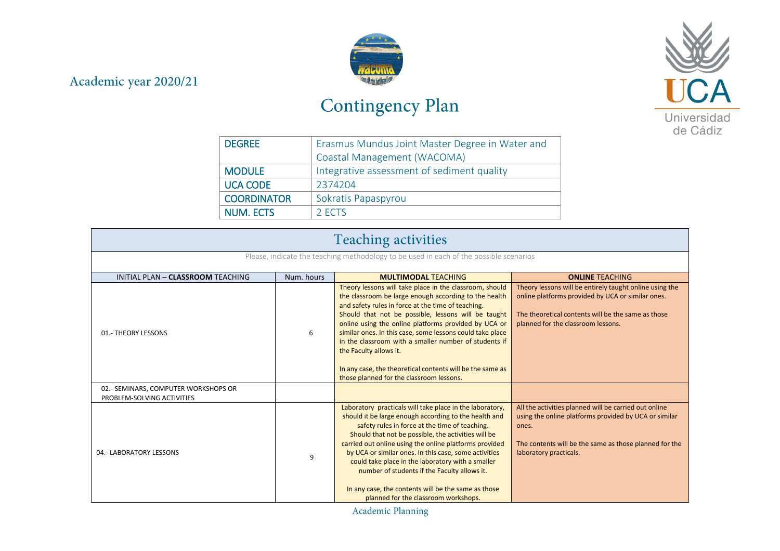## Academic year 2020/21



## Contingency Plan



| <b>DEGREE</b>      | Erasmus Mundus Joint Master Degree in Water and |
|--------------------|-------------------------------------------------|
|                    | Coastal Management (WACOMA)                     |
| <b>MODULE</b>      | Integrative assessment of sediment quality      |
| <b>UCA CODE</b>    | 2374204                                         |
| <b>COORDINATOR</b> | Sokratis Papaspyrou                             |
| <b>NUM. ECTS</b>   | 2 ECTS                                          |

| <b>Teaching activities</b>                                                             |            |                                                                                                                                                                                                                                                                                                                                                                                                                                                                                                                                                   |                                                                                                                                                                                                             |  |
|----------------------------------------------------------------------------------------|------------|---------------------------------------------------------------------------------------------------------------------------------------------------------------------------------------------------------------------------------------------------------------------------------------------------------------------------------------------------------------------------------------------------------------------------------------------------------------------------------------------------------------------------------------------------|-------------------------------------------------------------------------------------------------------------------------------------------------------------------------------------------------------------|--|
| Please, indicate the teaching methodology to be used in each of the possible scenarios |            |                                                                                                                                                                                                                                                                                                                                                                                                                                                                                                                                                   |                                                                                                                                                                                                             |  |
| INITIAL PLAN - CLASSROOM TEACHING                                                      | Num, hours | <b>MULTIMODAL TEACHING</b>                                                                                                                                                                                                                                                                                                                                                                                                                                                                                                                        | <b>ONLINE TEACHING</b>                                                                                                                                                                                      |  |
| 01.- THEORY LESSONS                                                                    | 6          | Theory lessons will take place in the classroom, should<br>the classroom be large enough according to the health<br>and safety rules in force at the time of teaching.<br>Should that not be possible, lessons will be taught<br>online using the online platforms provided by UCA or<br>similar ones. In this case, some lessons could take place<br>in the classroom with a smaller number of students if<br>the Faculty allows it.<br>In any case, the theoretical contents will be the same as<br>those planned for the classroom lessons.    | Theory lessons will be entirely taught online using the<br>online platforms provided by UCA or similar ones.<br>The theoretical contents will be the same as those<br>planned for the classroom lessons.    |  |
| 02.- SEMINARS, COMPUTER WORKSHOPS OR<br>PROBLEM-SOLVING ACTIVITIES                     |            |                                                                                                                                                                                                                                                                                                                                                                                                                                                                                                                                                   |                                                                                                                                                                                                             |  |
| 04.- LABORATORY LESSONS<br>9                                                           |            | Laboratory practicals will take place in the laboratory,<br>should it be large enough according to the health and<br>safety rules in force at the time of teaching.<br>Should that not be possible, the activities will be<br>carried out online using the online platforms provided<br>by UCA or similar ones. In this case, some activities<br>could take place in the laboratory with a smaller<br>number of students if the Faculty allows it.<br>In any case, the contents will be the same as those<br>planned for the classroom workshops. | All the activities planned will be carried out online<br>using the online platforms provided by UCA or similar<br>ones.<br>The contents will be the same as those planned for the<br>laboratory practicals. |  |

Academic Planning